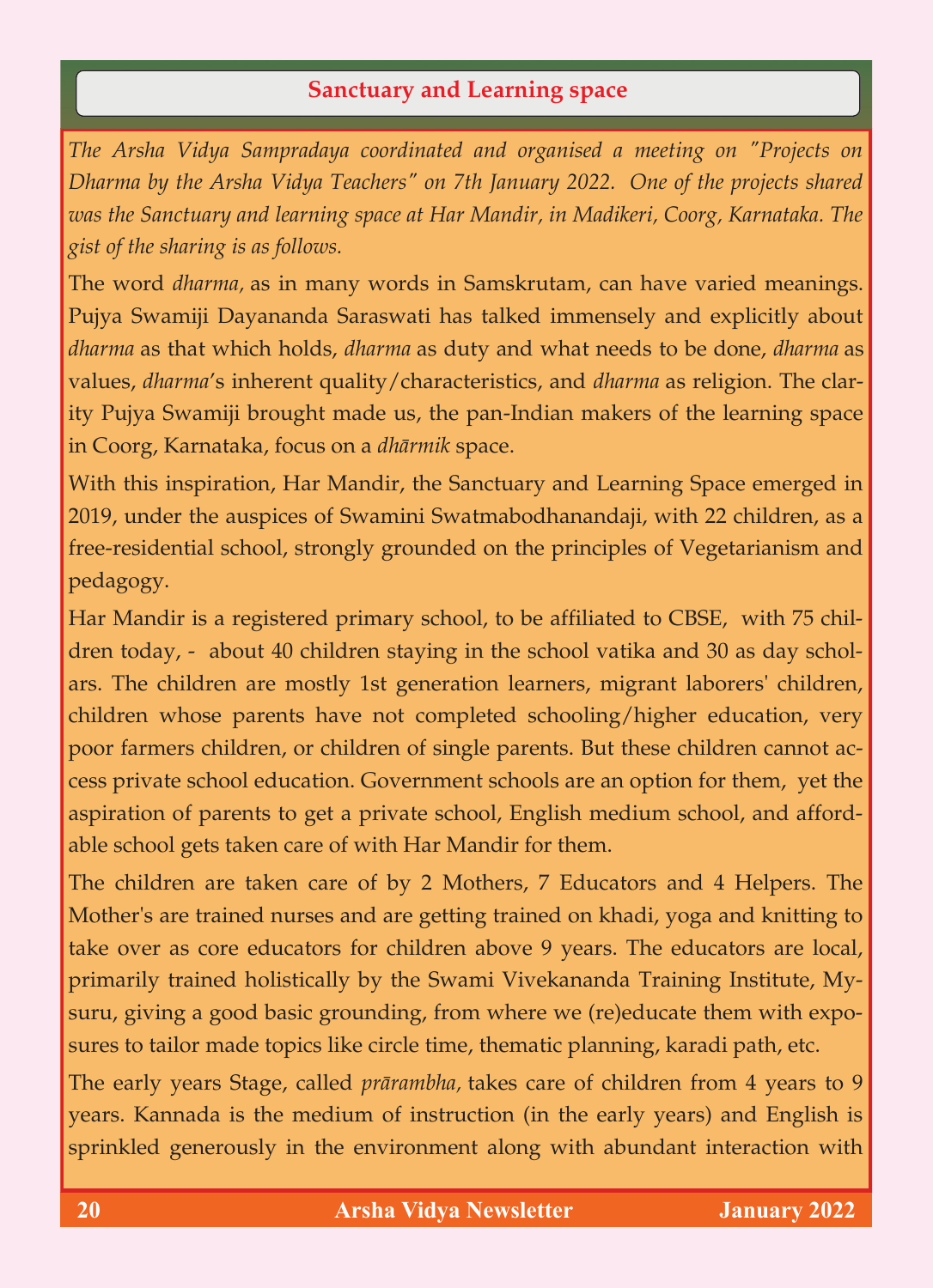## **Sanctuary and Learning space**

*The Arsha Vidya Sampradaya coordinated and organised a meeting on "Projects on Dharma by the Arsha Vidya Teachers" on 7th January 2022. One of the projects shared was the Sanctuary and learning space at Har Mandir, in Madikeri, Coorg, Karnataka. The gist of the sharing is as follows.* 

The word *dharma,* as in many words in Samskrutam, can have varied meanings. Pujya Swamiji Dayananda Saraswati has talked immensely and explicitly about *dharma* as that which holds, *dharma* as duty and what needs to be done, *dharma* as values, *dharma*'s inherent quality/characteristics, and *dharma* as religion. The clarity Pujya Swamiji brought made us, the pan-Indian makers of the learning space in Coorg, Karnataka, focus on a *dhārmik* space.

With this inspiration, Har Mandir, the Sanctuary and Learning Space emerged in 2019, under the auspices of Swamini Swatmabodhanandaji, with 22 children, as a free-residential school, strongly grounded on the principles of Vegetarianism and pedagogy.

Har Mandir is a registered primary school, to be affiliated to CBSE, with 75 children today, - about 40 children staying in the school vatika and 30 as day scholars. The children are mostly 1st generation learners, migrant laborers' children, children whose parents have not completed schooling/higher education, very poor farmers children, or children of single parents. But these children cannot access private school education. Government schools are an option for them, yet the aspiration of parents to get a private school, English medium school, and affordable school gets taken care of with Har Mandir for them.

The children are taken care of by 2 Mothers, 7 Educators and 4 Helpers. The Mother's are trained nurses and are getting trained on khadi, yoga and knitting to take over as core educators for children above 9 years. The educators are local, primarily trained holistically by the Swami Vivekananda Training Institute, Mysuru, giving a good basic grounding, from where we (re)educate them with exposures to tailor made topics like circle time, thematic planning, karadi path, etc.

The early years Stage, called *prārambha,* takes care of children from 4 years to 9 years. Kannada is the medium of instruction (in the early years) and English is sprinkled generously in the environment along with abundant interaction with